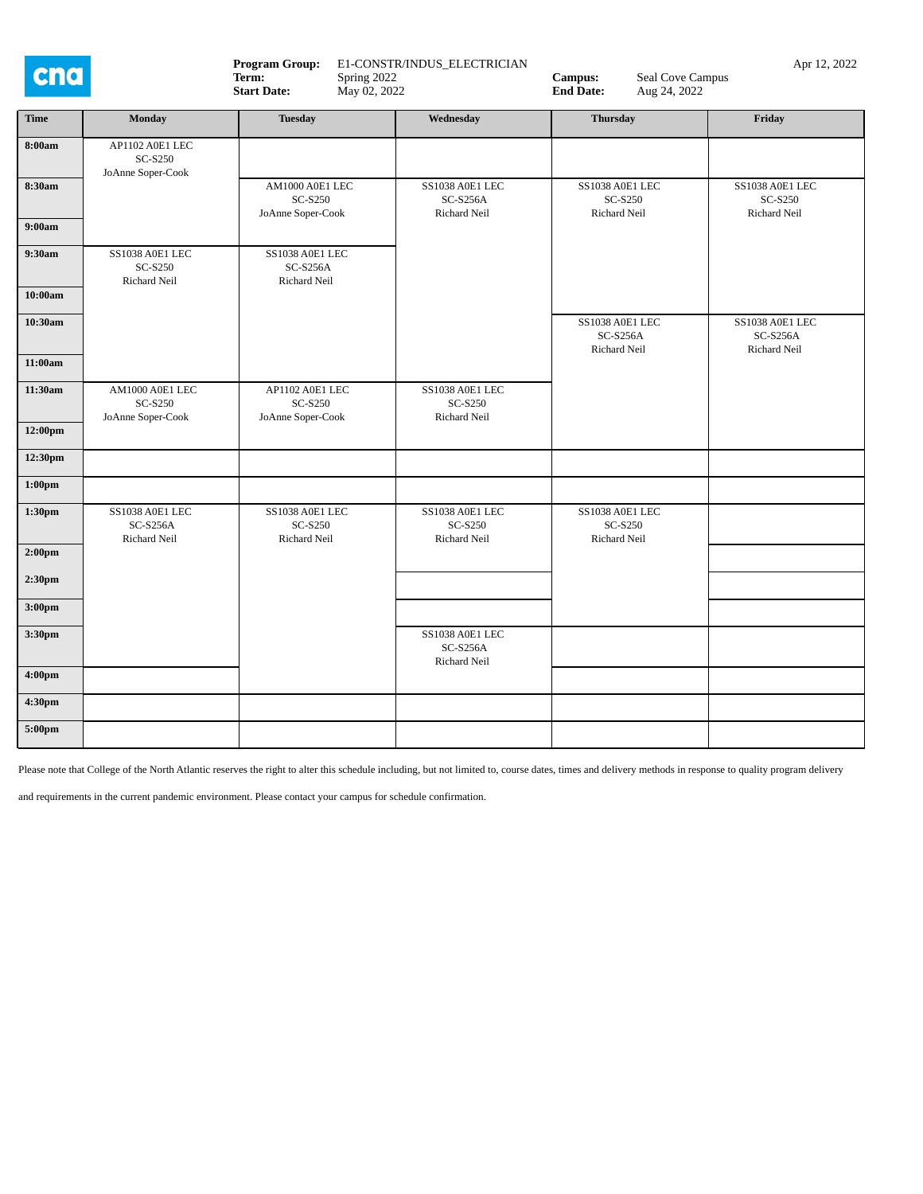

| <b>Time</b>        | <b>Monday</b>                                        | <b>Tuesday</b>                                         | Wednesday                                                | <b>Thursday</b>                                          | Friday                                        |
|--------------------|------------------------------------------------------|--------------------------------------------------------|----------------------------------------------------------|----------------------------------------------------------|-----------------------------------------------|
| 8:00am             | AP1102 A0E1 LEC<br>SC-S250<br>JoAnne Soper-Cook      |                                                        |                                                          |                                                          |                                               |
| 8:30am             |                                                      | AM1000 A0E1 LEC<br>SC-S250<br>JoAnne Soper-Cook        | SS1038 A0E1 LEC<br>$SC-S256A$<br>Richard Neil            | SS1038 A0E1 LEC<br>SC-S250<br>Richard Neil               | SS1038 A0E1 LEC<br>SC-S250<br>Richard Neil    |
| 9:00am             |                                                      |                                                        |                                                          |                                                          |                                               |
| 9:30am             | SS1038 A0E1 LEC<br>SC-S250<br><b>Richard Neil</b>    | SS1038 A0E1 LEC<br>$SC-S256A$<br><b>Richard Neil</b>   |                                                          |                                                          |                                               |
| 10:00am            |                                                      |                                                        |                                                          |                                                          |                                               |
| 10:30am            |                                                      |                                                        |                                                          | SS1038 A0E1 LEC<br>$SC-S256A$<br>Richard Neil            | SS1038 A0E1 LEC<br>$SC-S256A$<br>Richard Neil |
| 11:00am            |                                                      |                                                        |                                                          |                                                          |                                               |
| 11:30am            | AM1000 A0E1 LEC<br>SC-S250<br>JoAnne Soper-Cook      | AP1102 A0E1 LEC<br><b>SC-S250</b><br>JoAnne Soper-Cook | SS1038 A0E1 LEC<br><b>SC-S250</b><br><b>Richard Neil</b> |                                                          |                                               |
| 12:00pm            |                                                      |                                                        |                                                          |                                                          |                                               |
| 12:30pm            |                                                      |                                                        |                                                          |                                                          |                                               |
| $1:00$ pm          |                                                      |                                                        |                                                          |                                                          |                                               |
| 1:30 <sub>pm</sub> | <b>SS1038 A0E1 LEC</b><br>$SC-S256A$<br>Richard Neil | SS1038 A0E1 LEC<br><b>SC-S250</b><br>Richard Neil      | SS1038 A0E1 LEC<br>SC-S250<br>Richard Neil               | SS1038 A0E1 LEC<br><b>SC-S250</b><br><b>Richard Neil</b> |                                               |
| 2:00 <sub>pm</sub> |                                                      |                                                        |                                                          |                                                          |                                               |
| 2:30pm             |                                                      |                                                        |                                                          |                                                          |                                               |
| 3:00 <sub>pm</sub> |                                                      |                                                        |                                                          |                                                          |                                               |
| 3:30pm             |                                                      |                                                        | SS1038 A0E1 LEC<br>$SC-S256A$<br><b>Richard Neil</b>     |                                                          |                                               |
| 4:00pm             |                                                      |                                                        |                                                          |                                                          |                                               |
| 4:30pm             |                                                      |                                                        |                                                          |                                                          |                                               |
| 5:00pm             |                                                      |                                                        |                                                          |                                                          |                                               |

Please note that College of the North Atlantic reserves the right to alter this schedule including, but not limited to, course dates, times and delivery methods in response to quality program delivery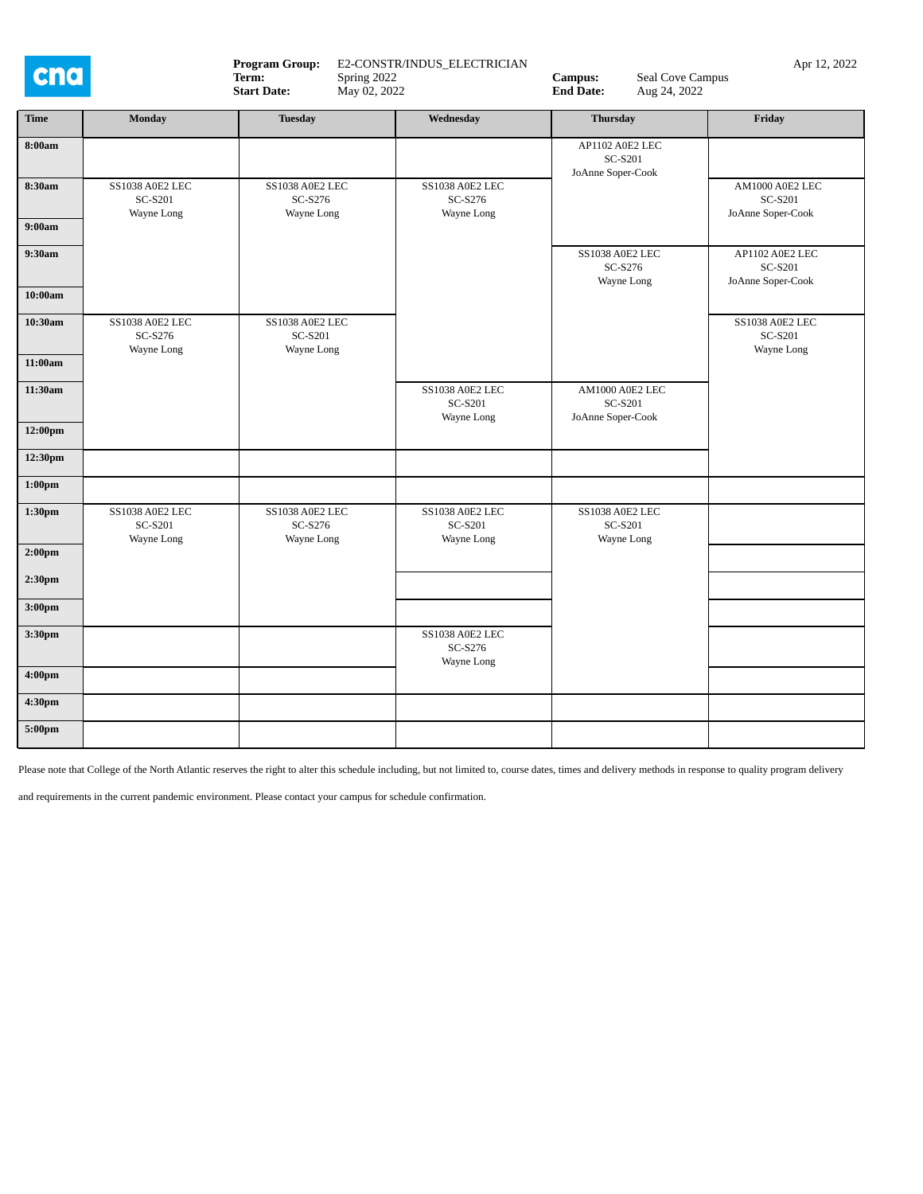

**Program Group:** E2-CONSTR/INDUS\_ELECTRICIAN **Campus:** Seal Cove Campus Apr 12, 2022 **Campus:** Apr 12, 2022 **Campus:** Apr 12, 2022 **Campus:** Apr 12, 2022 **Campus:** Apr 12, 2022 **Campus:** Apr 12, 2022 **Campus:** Apr 12, 2022 **Term:** Spring 2022 **Campus:** Seal Cove Campus<br>
Start Date: May 02, 2022 **Campus:** Seal Cove Campus<br> **Campus:** Seal Cove Campus<br> **Campus:** Seal Cove Campus **Spring 2022**<br>May 02, 2022

| <b>Time</b>        | Monday                                          | <b>Tuesday</b>                                         | Wednesday                                | <b>Thursday</b>                                        | Friday                                          |
|--------------------|-------------------------------------------------|--------------------------------------------------------|------------------------------------------|--------------------------------------------------------|-------------------------------------------------|
| 8:00am             |                                                 |                                                        |                                          | AP1102 A0E2 LEC<br><b>SC-S201</b><br>JoAnne Soper-Cook |                                                 |
| 8:30am             | <b>SS1038 A0E2 LEC</b><br>SC-S201<br>Wayne Long | SS1038 A0E2 LEC<br>SC-S276<br>Wayne Long               | SS1038 A0E2 LEC<br>SC-S276<br>Wayne Long |                                                        | AM1000 A0E2 LEC<br>SC-S201<br>JoAnne Soper-Cook |
| 9:00am             |                                                 |                                                        |                                          |                                                        |                                                 |
| 9:30am             |                                                 |                                                        |                                          | SS1038 A0E2 LEC<br>SC-S276<br>Wayne Long               | AP1102 A0E2 LEC<br>SC-S201<br>JoAnne Soper-Cook |
| 10:00am            |                                                 |                                                        |                                          |                                                        |                                                 |
| 10:30am            | SS1038 A0E2 LEC<br>SC-S276<br>Wayne Long        | SS1038 A0E2 LEC<br>SC-S201<br>Wayne Long               |                                          |                                                        | SS1038 A0E2 LEC<br>SC-S201<br>Wayne Long        |
| 11:00am            |                                                 |                                                        |                                          |                                                        |                                                 |
| 11:30am            |                                                 |                                                        | SS1038 A0E2 LEC<br>SC-S201<br>Wayne Long | AM1000 A0E2 LEC<br>SC-S201<br>JoAnne Soper-Cook        |                                                 |
| 12:00pm            |                                                 |                                                        |                                          |                                                        |                                                 |
| 12:30pm            |                                                 |                                                        |                                          |                                                        |                                                 |
| 1:00 <sub>pm</sub> |                                                 |                                                        |                                          |                                                        |                                                 |
| 1:30pm             | <b>SS1038 A0E2 LEC</b><br>SC-S201               | SS1038 A0E2 LEC<br>SC-S276<br>Wayne Long<br>Wayne Long | SS1038 A0E2 LEC<br>SC-S201<br>Wayne Long | SS1038 A0E2 LEC<br>SC-S201<br>Wayne Long               |                                                 |
| 2:00 <sub>pm</sub> |                                                 |                                                        |                                          |                                                        |                                                 |
| 2:30pm             |                                                 |                                                        |                                          |                                                        |                                                 |
| 3:00 <sub>pm</sub> |                                                 |                                                        |                                          |                                                        |                                                 |
| 3:30pm             |                                                 |                                                        | SS1038 A0E2 LEC<br>SC-S276<br>Wayne Long |                                                        |                                                 |
| 4:00 <sub>pm</sub> |                                                 |                                                        |                                          |                                                        |                                                 |
| 4:30pm             |                                                 |                                                        |                                          |                                                        |                                                 |
| 5:00pm             |                                                 |                                                        |                                          |                                                        |                                                 |

Please note that College of the North Atlantic reserves the right to alter this schedule including, but not limited to, course dates, times and delivery methods in response to quality program delivery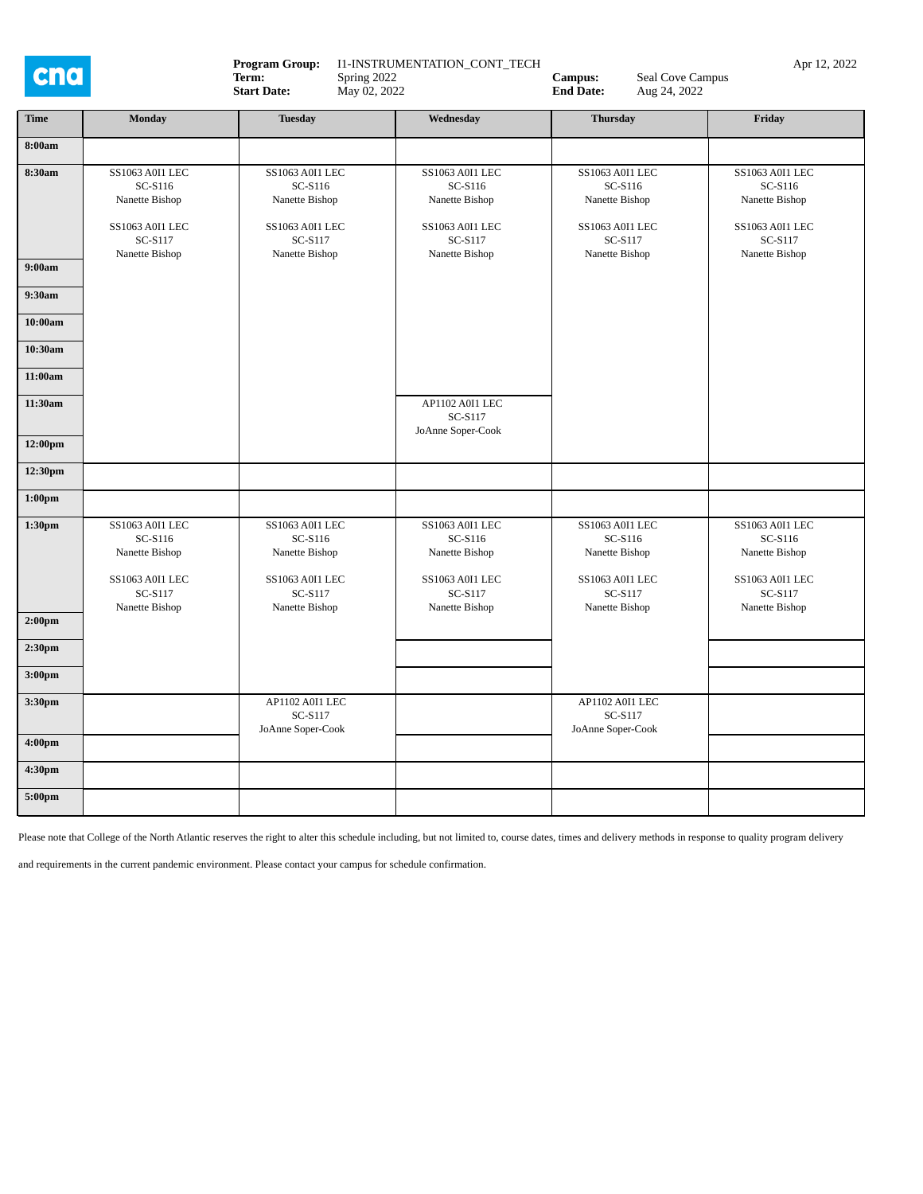cna

**Program Group:** I1-INSTRUMENTATION\_CONT\_TECH **Campus:** Seal Cove Campus Apr 12, 2022 **Campus:** Seal Cove Campus Apr 12, 2022 **Term:** Spring 2022 **Campus:** Seal Cove Campus<br>
Start Date: May 02, 2022 **Campus:** Seal Cove Campus<br> **Campus:** Seal Cove Campus<br> **Campus:** Seal Cove Campus **Spring 2022**<br>May 02, 2022 **Time Monday Tuesday Wednesday Thursday Friday**

| 8:00am             |                                                                                              |                                                                                              |                                                                                              |                                                                                              |                                                                                                |
|--------------------|----------------------------------------------------------------------------------------------|----------------------------------------------------------------------------------------------|----------------------------------------------------------------------------------------------|----------------------------------------------------------------------------------------------|------------------------------------------------------------------------------------------------|
| 8:30am             | SS1063 A0I1 LEC<br>SC-S116<br>Nanette Bishop                                                 | <b>SS1063 A0I1 LEC</b><br>SC-S116<br>Nanette Bishop                                          | <b>SS1063 A0I1 LEC</b><br>SC-S116<br>Nanette Bishop                                          | <b>SS1063 A0I1 LEC</b><br>SC-S116<br>Nanette Bishop                                          | SS1063 A0I1 LEC<br>SC-S116<br>Nanette Bishop                                                   |
|                    | SS1063 A0I1 LEC<br>SC-S117<br>Nanette Bishop                                                 | SS1063 A0I1 LEC<br>SC-S117<br>Nanette Bishop                                                 | SS1063 A0I1 LEC<br>SC-S117<br>Nanette Bishop                                                 | SS1063 A0I1 LEC<br>SC-S117<br>Nanette Bishop                                                 | SS1063 A0I1 LEC<br>SC-S117<br>Nanette Bishop                                                   |
| 9:00am             |                                                                                              |                                                                                              |                                                                                              |                                                                                              |                                                                                                |
| 9:30am             |                                                                                              |                                                                                              |                                                                                              |                                                                                              |                                                                                                |
| 10:00am            |                                                                                              |                                                                                              |                                                                                              |                                                                                              |                                                                                                |
| 10:30am            |                                                                                              |                                                                                              |                                                                                              |                                                                                              |                                                                                                |
| 11:00am            |                                                                                              |                                                                                              |                                                                                              |                                                                                              |                                                                                                |
| 11:30am            |                                                                                              |                                                                                              | AP1102 A0I1 LEC<br>SC-S117<br>JoAnne Soper-Cook                                              |                                                                                              |                                                                                                |
| 12:00pm            |                                                                                              |                                                                                              |                                                                                              |                                                                                              |                                                                                                |
| 12:30pm            |                                                                                              |                                                                                              |                                                                                              |                                                                                              |                                                                                                |
| $1:00 \mathrm{pm}$ |                                                                                              |                                                                                              |                                                                                              |                                                                                              |                                                                                                |
| $1:30 \text{pm}$   | SS1063 A0I1 LEC<br>SC-S116<br>Nanette Bishop<br>SS1063 A0I1 LEC<br>SC-S117<br>Nanette Bishop | SS1063 A0I1 LEC<br>SC-S116<br>Nanette Bishop<br>SS1063 A0I1 LEC<br>SC-S117<br>Nanette Bishop | SS1063 A0I1 LEC<br>SC-S116<br>Nanette Bishop<br>SS1063 A0I1 LEC<br>SC-S117<br>Nanette Bishop | SS1063 A0I1 LEC<br>SC-S116<br>Nanette Bishop<br>SS1063 A0I1 LEC<br>SC-S117<br>Nanette Bishop | SS1063 A0I1 LEC<br>SC-S116<br>Nanette Bishop<br>SS1063 A0I1 LEC<br>$SC-S117$<br>Nanette Bishop |
| 2:00 <sub>pm</sub> |                                                                                              |                                                                                              |                                                                                              |                                                                                              |                                                                                                |
| 2:30 <sub>pm</sub> |                                                                                              |                                                                                              |                                                                                              |                                                                                              |                                                                                                |
| 3:00 <sub>pm</sub> |                                                                                              |                                                                                              |                                                                                              |                                                                                              |                                                                                                |
| $3:30 \text{pm}$   |                                                                                              | AP1102 A0I1 LEC<br>SC-S117<br>JoAnne Soper-Cook                                              |                                                                                              | AP1102 A0I1 LEC<br>SC-S117<br>JoAnne Soper-Cook                                              |                                                                                                |
| 4:00 <sub>pm</sub> |                                                                                              |                                                                                              |                                                                                              |                                                                                              |                                                                                                |
| 4:30pm             |                                                                                              |                                                                                              |                                                                                              |                                                                                              |                                                                                                |
| $5:00 \text{pm}$   |                                                                                              |                                                                                              |                                                                                              |                                                                                              |                                                                                                |

Please note that College of the North Atlantic reserves the right to alter this schedule including, but not limited to, course dates, times and delivery methods in response to quality program delivery